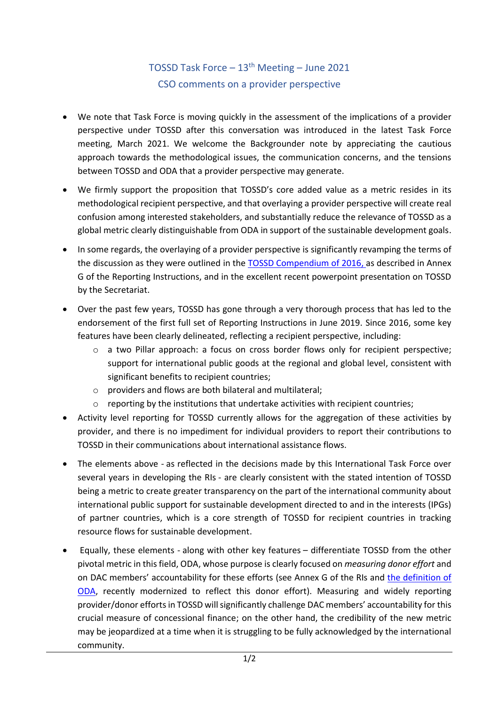## TOSSD Task Force – 13th Meeting – June 2021 CSO comments on a provider perspective

- We note that Task Force is moving quickly in the assessment of the implications of a provider perspective under TOSSD after this conversation was introduced in the latest Task Force meeting, March 2021. We welcome the Backgrounder note by appreciating the cautious approach towards the methodological issues, the communication concerns, and the tensions between TOSSD and ODA that a provider perspective may generate.
- We firmly support the proposition that TOSSD's core added value as a metric resides in its methodological recipient perspective, and that overlaying a provider perspective will create real confusion among interested stakeholders, and substantially reduce the relevance of TOSSD as a global metric clearly distinguishable from ODA in support of the sustainable development goals.
- In some regards, the overlaying of a provider perspective is significantly revamping the terms of the discussion as they were outlined in the [TOSSD Compendium of 2016,](https://www.oecd.org/dac/financing-sustainable-development/TOSSD%20Compendium2016.pdf) as described in Annex G of the Reporting Instructions, and in the excellent recent powerpoint presentation on TOSSD by the Secretariat.
- Over the past few years, TOSSD has gone through a very thorough process that has led to the endorsement of the first full set of Reporting Instructions in June 2019. Since 2016, some key features have been clearly delineated, reflecting a recipient perspective, including:
	- o a two Pillar approach: a focus on cross border flows only for recipient perspective; support for international public goods at the regional and global level, consistent with significant benefits to recipient countries;
	- o providers and flows are both bilateral and multilateral;
	- $\circ$  reporting by the institutions that undertake activities with recipient countries;
- Activity level reporting for TOSSD currently allows for the aggregation of these activities by provider, and there is no impediment for individual providers to report their contributions to TOSSD in their communications about international assistance flows.
- The elements above as reflected in the decisions made by this International Task Force over several years in developing the RIs - are clearly consistent with the stated intention of TOSSD being a metric to create greater transparency on the part of the international community about international public support for sustainable development directed to and in the interests (IPGs) of partner countries, which is a core strength of TOSSD for recipient countries in tracking resource flows for sustainable development.
- Equally, these elements along with other key features differentiate TOSSD from the other pivotal metric in this field, ODA, whose purpose is clearly focused on *measuring donor effort* and on DAC members' accountability for these efforts (see Annex G of the RIs and [the definition of](https://www.oecd.org/dac/financing-sustainable-development/development-finance-standards/What-is-ODA.pdf)  [ODA,](https://www.oecd.org/dac/financing-sustainable-development/development-finance-standards/What-is-ODA.pdf) recently modernized to reflect this donor effort). Measuring and widely reporting provider/donor effortsin TOSSD will significantly challenge DAC members' accountability for this crucial measure of concessional finance; on the other hand, the credibility of the new metric may be jeopardized at a time when it is struggling to be fully acknowledged by the international community.